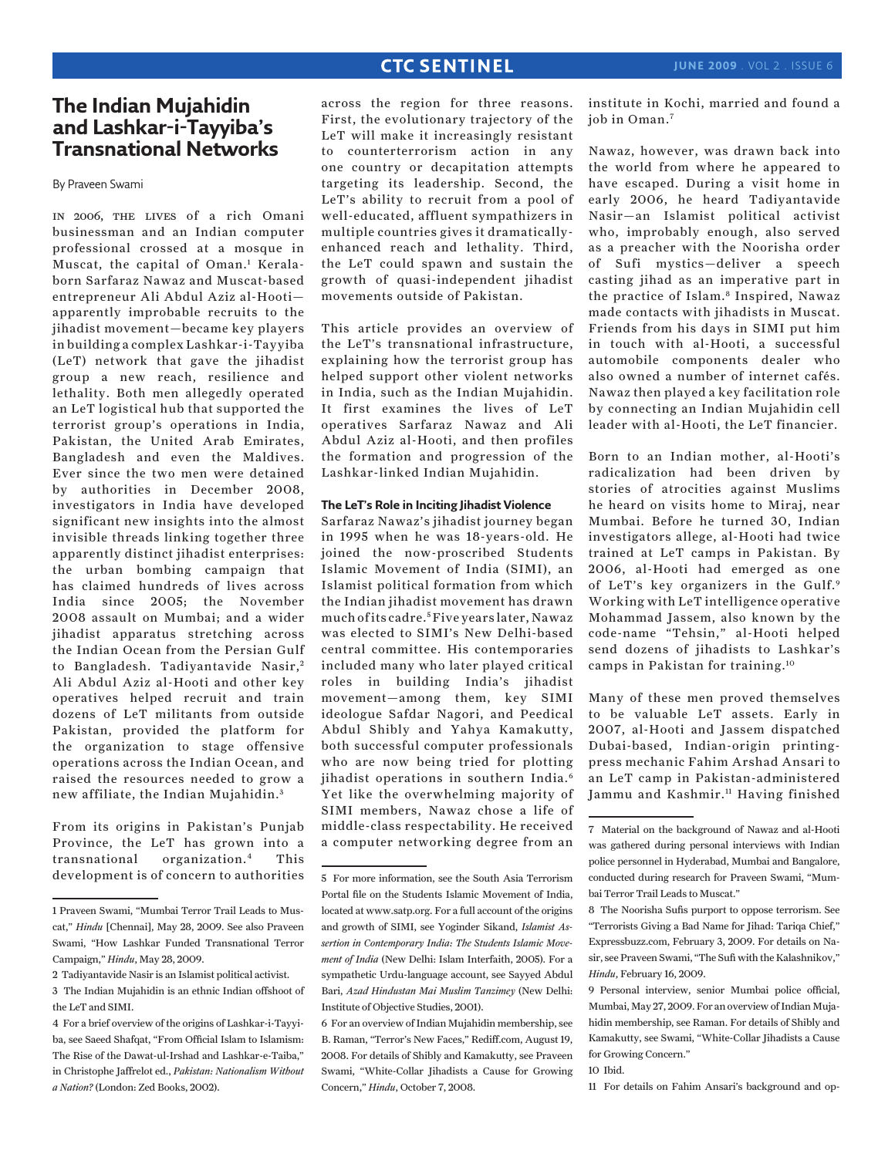# **The Indian Mujahidin and Lashkar-i-Tayyiba's Transnational Networks**

By Praveen Swami

in 2006, the lives of a rich Omani businessman and an Indian computer professional crossed at a mosque in Muscat, the capital of Oman.<sup>1</sup> Keralaborn Sarfaraz Nawaz and Muscat-based entrepreneur Ali Abdul Aziz al-Hooti apparently improbable recruits to the jihadist movement—became key players in building a complex Lashkar-i-Tayyiba (LeT) network that gave the jihadist group a new reach, resilience and lethality. Both men allegedly operated an LeT logistical hub that supported the terrorist group's operations in India, Pakistan, the United Arab Emirates, Bangladesh and even the Maldives. Ever since the two men were detained by authorities in December 2008, investigators in India have developed significant new insights into the almost invisible threads linking together three apparently distinct jihadist enterprises: the urban bombing campaign that has claimed hundreds of lives across India since 2005; the November 2008 assault on Mumbai; and a wider jihadist apparatus stretching across the Indian Ocean from the Persian Gulf to Bangladesh. Tadiyantavide Nasir,<sup>2</sup> Ali Abdul Aziz al-Hooti and other key operatives helped recruit and train dozens of LeT militants from outside Pakistan, provided the platform for the organization to stage offensive operations across the Indian Ocean, and raised the resources needed to grow a new affiliate, the Indian Mujahidin. <sup>3</sup>

From its origins in Pakistan's Punjab Province, the LeT has grown into a transnational organization.4 This development is of concern to authorities

across the region for three reasons. First, the evolutionary trajectory of the LeT will make it increasingly resistant to counterterrorism action in any one country or decapitation attempts targeting its leadership. Second, the LeT's ability to recruit from a pool of well-educated, affluent sympathizers in multiple countries gives it dramaticallyenhanced reach and lethality. Third, the LeT could spawn and sustain the growth of quasi-independent jihadist movements outside of Pakistan.

This article provides an overview of the LeT's transnational infrastructure, explaining how the terrorist group has helped support other violent networks in India, such as the Indian Mujahidin. It first examines the lives of LeT operatives Sarfaraz Nawaz and Ali Abdul Aziz al-Hooti, and then profiles the formation and progression of the Lashkar-linked Indian Mujahidin.

#### **The LeT's Role in Inciting Jihadist Violence**

Sarfaraz Nawaz's jihadist journey began in 1995 when he was 18-years-old. He joined the now-proscribed Students Islamic Movement of India (SIMI), an Islamist political formation from which the Indian jihadist movement has drawn much of its cadre.5 Five years later, Nawaz was elected to SIMI's New Delhi-based central committee. His contemporaries included many who later played critical roles in building India's jihadist movement—among them, key SIMI ideologue Safdar Nagori, and Peedical Abdul Shibly and Yahya Kamakutty, both successful computer professionals who are now being tried for plotting jihadist operations in southern India.<sup>6</sup> Yet like the overwhelming majority of SIMI members, Nawaz chose a life of middle-class respectability. He received a computer networking degree from an

institute in Kochi, married and found a job in Oman.7

Nawaz, however, was drawn back into the world from where he appeared to have escaped. During a visit home in early 2006, he heard Tadiyantavide Nasir—an Islamist political activist who, improbably enough, also served as a preacher with the Noorisha order of Sufi mystics—deliver a speech casting jihad as an imperative part in the practice of Islam.<sup>8</sup> Inspired, Nawaz made contacts with jihadists in Muscat. Friends from his days in SIMI put him in touch with al-Hooti, a successful automobile components dealer who also owned a number of internet cafés. Nawaz then played a key facilitation role by connecting an Indian Mujahidin cell leader with al-Hooti, the LeT financier.

Born to an Indian mother, al-Hooti's radicalization had been driven by stories of atrocities against Muslims he heard on visits home to Miraj, near Mumbai. Before he turned 30, Indian investigators allege, al-Hooti had twice trained at LeT camps in Pakistan. By 2006, al-Hooti had emerged as one of LeT's key organizers in the Gulf.<sup>9</sup> Working with LeT intelligence operative Mohammad Jassem, also known by the code-name "Tehsin," al-Hooti helped send dozens of jihadists to Lashkar's camps in Pakistan for training.10

Many of these men proved themselves to be valuable LeT assets. Early in 2007, al-Hooti and Jassem dispatched Dubai-based, Indian-origin printingpress mechanic Fahim Arshad Ansari to an LeT camp in Pakistan-administered Jammu and Kashmir.<sup>11</sup> Having finished

11 For details on Fahim Ansari's background and op-

<sup>1</sup> Praveen Swami, "Mumbai Terror Trail Leads to Muscat," *Hindu* [Chennai], May 28, 2009. See also Praveen Swami, "How Lashkar Funded Transnational Terror Campaign," *Hindu*, May 28, 2009.

<sup>2</sup> Tadiyantavide Nasir is an Islamist political activist.

<sup>3</sup> The Indian Mujahidin is an ethnic Indian offshoot of the LeT and SIMI.

<sup>4</sup> For a brief overview of the origins of Lashkar-i-Tayyiba, see Saeed Shafqat, "From Official Islam to Islamism: The Rise of the Dawat-ul-Irshad and Lashkar-e-Taiba," in Christophe Jaffrelot ed., *Pakistan: Nationalism Without a Nation?* (London: Zed Books, 2002).

<sup>5</sup> For more information, see the South Asia Terrorism Portal file on the Students Islamic Movement of India, located at www.satp.org. For a full account of the origins and growth of SIMI, see Yoginder Sikand, *Islamist Assertion in Contemporary India: The Students Islamic Movement of India* (New Delhi: Islam Interfaith, 2005). For a sympathetic Urdu-language account, see Sayyed Abdul Bari, *Azad Hindustan Mai Muslim Tanzimey* (New Delhi: Institute of Objective Studies, 2001).

<sup>6</sup> For an overview of Indian Mujahidin membership, see B. Raman, "Terror's New Faces," Rediff.com, August 19, 2008. For details of Shibly and Kamakutty, see Praveen Swami, "White-Collar Jihadists a Cause for Growing Concern," *Hindu*, October 7, 2008.

<sup>7</sup> Material on the background of Nawaz and al-Hooti was gathered during personal interviews with Indian police personnel in Hyderabad, Mumbai and Bangalore, conducted during research for Praveen Swami, "Mumbai Terror Trail Leads to Muscat."

<sup>8</sup> The Noorisha Sufis purport to oppose terrorism. See "Terrorists Giving a Bad Name for Jihad: Tariqa Chief," Expressbuzz.com, February 3, 2009. For details on Nasir, see Praveen Swami, "The Sufi with the Kalashnikov," *Hindu*, February 16, 2009.

<sup>9</sup> Personal interview, senior Mumbai police official, Mumbai, May 27, 2009. For an overview of Indian Mujahidin membership, see Raman. For details of Shibly and Kamakutty, see Swami, "White-Collar Jihadists a Cause for Growing Concern."

<sup>10</sup> Ibid.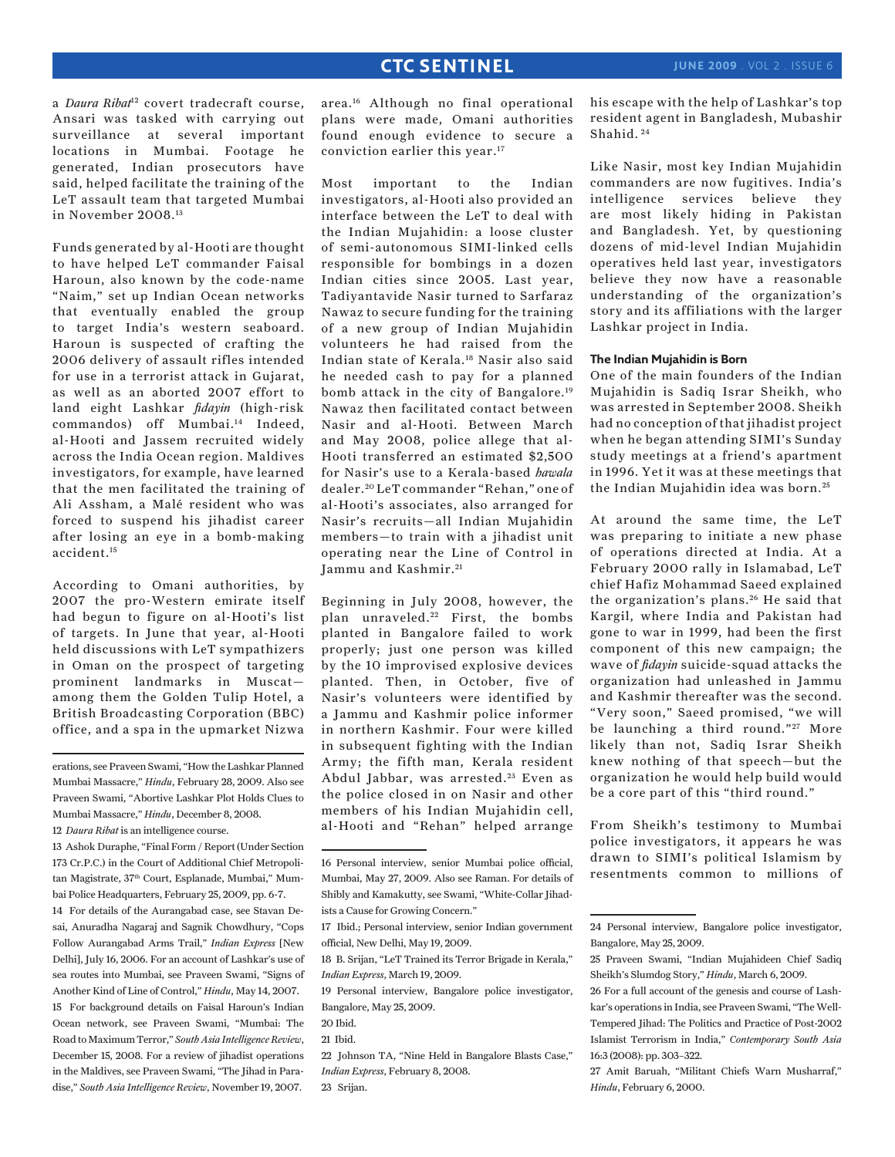a *Daura Ribat*<sup>12</sup> covert tradecraft course, Ansari was tasked with carrying out surveillance at several important locations in Mumbai. Footage he generated, Indian prosecutors have said, helped facilitate the training of the LeT assault team that targeted Mumbai in November 2008.13

Funds generated by al-Hooti are thought to have helped LeT commander Faisal Haroun, also known by the code-name "Naim," set up Indian Ocean networks that eventually enabled the group to target India's western seaboard. Haroun is suspected of crafting the 2006 delivery of assault rifles intended for use in a terrorist attack in Gujarat, as well as an aborted 2007 effort to land eight Lashkar *fidayin* (high-risk commandos) off Mumbai.14 Indeed, al-Hooti and Jassem recruited widely across the India Ocean region. Maldives investigators, for example, have learned that the men facilitated the training of Ali Assham, a Malé resident who was forced to suspend his jihadist career after losing an eye in a bomb-making accident.15

According to Omani authorities, by 2007 the pro-Western emirate itself had begun to figure on al-Hooti's list of targets. In June that year, al-Hooti held discussions with LeT sympathizers in Oman on the prospect of targeting prominent landmarks in Muscat among them the Golden Tulip Hotel, a British Broadcasting Corporation (BBC) office, and a spa in the upmarket Nizwa

area.16 Although no final operational plans were made, Omani authorities found enough evidence to secure a conviction earlier this year.17

Most important to the Indian investigators, al-Hooti also provided an interface between the LeT to deal with the Indian Mujahidin: a loose cluster of semi-autonomous SIMI-linked cells responsible for bombings in a dozen Indian cities since 2005. Last year, Tadiyantavide Nasir turned to Sarfaraz Nawaz to secure funding for the training of a new group of Indian Mujahidin volunteers he had raised from the Indian state of Kerala.18 Nasir also said he needed cash to pay for a planned bomb attack in the city of Bangalore.19 Nawaz then facilitated contact between Nasir and al-Hooti. Between March and May 2008, police allege that al-Hooti transferred an estimated \$2,500 for Nasir's use to a Kerala-based *hawala* dealer. 20 LeT commander "Rehan," one of al-Hooti's associates, also arranged for Nasir's recruits—all Indian Mujahidin members—to train with a jihadist unit operating near the Line of Control in Jammu and Kashmir.<sup>21</sup>

Beginning in July 2008, however, the plan unraveled.<sup>22</sup> First, the bombs planted in Bangalore failed to work properly; just one person was killed by the 10 improvised explosive devices planted. Then, in October, five of Nasir's volunteers were identified by a Jammu and Kashmir police informer in northern Kashmir. Four were killed in subsequent fighting with the Indian Army; the fifth man, Kerala resident Abdul Jabbar, was arrested.<sup>23</sup> Even as the police closed in on Nasir and other members of his Indian Mujahidin cell, al-Hooti and "Rehan" helped arrange his escape with the help of Lashkar's top resident agent in Bangladesh, Mubashir Shahid. 24

Like Nasir, most key Indian Mujahidin commanders are now fugitives. India's intelligence services believe they are most likely hiding in Pakistan and Bangladesh. Yet, by questioning dozens of mid-level Indian Mujahidin operatives held last year, investigators believe they now have a reasonable understanding of the organization's story and its affiliations with the larger Lashkar project in India.

#### **The Indian Mujahidin is Born**

One of the main founders of the Indian Mujahidin is Sadiq Israr Sheikh, who was arrested in September 2008. Sheikh had no conception of that jihadist project when he began attending SIMI's Sunday study meetings at a friend's apartment in 1996. Yet it was at these meetings that the Indian Mujahidin idea was born.<sup>25</sup>

At around the same time, the LeT was preparing to initiate a new phase of operations directed at India. At a February 2000 rally in Islamabad, LeT chief Hafiz Mohammad Saeed explained the organization's plans. 26 He said that Kargil, where India and Pakistan had gone to war in 1999, had been the first component of this new campaign; the wave of *fidayin* suicide-squad attacks the organization had unleashed in Jammu and Kashmir thereafter was the second. "Very soon," Saeed promised, "we will be launching a third round."<sup>27</sup> More likely than not, Sadiq Israr Sheikh knew nothing of that speech—but the organization he would help build would be a core part of this "third round."

From Sheikh's testimony to Mumbai police investigators, it appears he was drawn to SIMI's political Islamism by resentments common to millions of

erations, see Praveen Swami, "How the Lashkar Planned Mumbai Massacre," *Hindu*, February 28, 2009. Also see Praveen Swami, "Abortive Lashkar Plot Holds Clues to Mumbai Massacre," *Hindu*, December 8, 2008.

<sup>12</sup> *Daura Ribat* is an intelligence course.

<sup>13</sup> Ashok Duraphe, "Final Form / Report (Under Section 173 Cr.P.C.) in the Court of Additional Chief Metropolitan Magistrate, 37<sup>th</sup> Court, Esplanade, Mumbai," Mumbai Police Headquarters, February 25, 2009, pp. 6-7.

<sup>14</sup> For details of the Aurangabad case, see Stavan Desai, Anuradha Nagaraj and Sagnik Chowdhury, "Cops Follow Aurangabad Arms Trail," *Indian Express* [New Delhi], July 16, 2006. For an account of Lashkar's use of sea routes into Mumbai, see Praveen Swami, "Signs of Another Kind of Line of Control," *Hindu*, May 14, 2007. 15 For background details on Faisal Haroun's Indian Ocean network, see Praveen Swami, "Mumbai: The Road to Maximum Terror," *South Asia Intelligence Review*, December 15, 2008. For a review of jihadist operations in the Maldives, see Praveen Swami, "The Jihad in Paradise," *South Asia Intelligence Review*, November 19, 2007.

<sup>16</sup> Personal interview, senior Mumbai police official, Mumbai, May 27, 2009. Also see Raman. For details of Shibly and Kamakutty, see Swami, "White-Collar Jihadists a Cause for Growing Concern."

<sup>17</sup> Ibid.; Personal interview, senior Indian government official, New Delhi, May 19, 2009.

<sup>18</sup> B. Srijan, "LeT Trained its Terror Brigade in Kerala," *Indian Express*, March 19, 2009.

<sup>19</sup> Personal interview, Bangalore police investigator, Bangalore, May 25, 2009.

<sup>20</sup> Ibid.

<sup>21</sup> Ibid.

<sup>22</sup> Johnson TA, "Nine Held in Bangalore Blasts Case," *Indian Express*, February 8, 2008.

<sup>23</sup> Srijan.

<sup>24</sup> Personal interview, Bangalore police investigator, Bangalore, May 25, 2009.

<sup>25</sup> Praveen Swami, "Indian Mujahideen Chief Sadiq Sheikh's Slumdog Story," *Hindu*, March 6, 2009.

<sup>26</sup> For a full account of the genesis and course of Lashkar's operations in India, see Praveen Swami, "The Well-Tempered Jihad: The Politics and Practice of Post-2002 Islamist Terrorism in India," *Contemporary South Asia* 16:3 (2008): pp. 303–322.

<sup>27</sup> Amit Baruah, "Militant Chiefs Warn Musharraf," *Hindu*, February 6, 2000.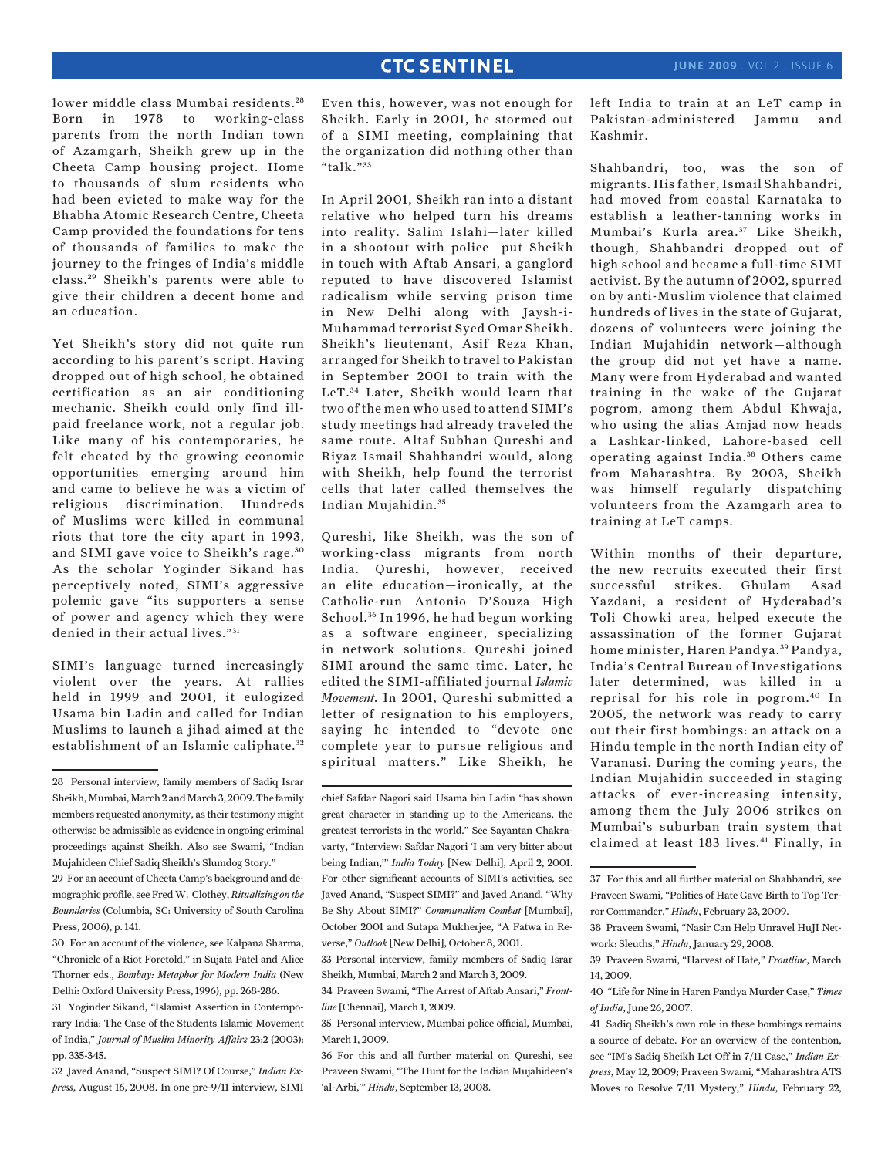lower middle class Mumbai residents. <sup>28</sup> Born in 1978 to working-class parents from the north Indian town of Azamgarh, Sheikh grew up in the Cheeta Camp housing project. Home to thousands of slum residents who had been evicted to make way for the Bhabha Atomic Research Centre, Cheeta Camp provided the foundations for tens of thousands of families to make the journey to the fringes of India's middle class. 29 Sheikh's parents were able to give their children a decent home and an education.

Yet Sheikh's story did not quite run according to his parent's script. Having dropped out of high school, he obtained certification as an air conditioning mechanic. Sheikh could only find illpaid freelance work, not a regular job. Like many of his contemporaries, he felt cheated by the growing economic opportunities emerging around him and came to believe he was a victim of religious discrimination. Hundreds of Muslims were killed in communal riots that tore the city apart in 1993, and SIMI gave voice to Sheikh's rage. <sup>30</sup> As the scholar Yoginder Sikand has perceptively noted, SIMI's aggressive polemic gave "its supporters a sense of power and agency which they were denied in their actual lives." 31

SIMI's language turned increasingly violent over the years. At rallies held in 1999 and 2001, it eulogized Usama bin Ladin and called for Indian Muslims to launch a jihad aimed at the establishment of an Islamic caliphate. <sup>32</sup>

32 Javed Anand, "Suspect SIMI? Of Course," *Indian Express*, August 16, 2008. In one pre-9/11 interview, SIMI

Even this, however, was not enough for Sheikh. Early in 2001, he stormed out of a SIMI meeting, complaining that the organization did nothing other than "talk."  $33$ 

In April 2001, Sheikh ran into a distant relative who helped turn his dreams into reality. Salim Islahi—later killed in a shootout with police—put Sheikh in touch with Aftab Ansari, a ganglord reputed to have discovered Islamist radicalism while serving prison time in New Delhi along with Jaysh-i-Muhammad terrorist Syed Omar Sheikh. Sheikh's lieutenant, Asif Reza Khan, arranged for Sheikh to travel to Pakistan in September 2001 to train with the LeT. 34 Later, Sheikh would learn that two of the men who used to attend SIMI's study meetings had already traveled the same route. Altaf Subhan Qureshi and Riyaz Ismail Shahbandri would, along with Sheikh, help found the terrorist cells that later called themselves the Indian Mujahidin. <sup>35</sup>

Qureshi, like Sheikh, was the son of working-class migrants from north India. Qureshi, however, received an elite education—ironically, at the Catholic-run Antonio D'Souza High School.<sup>36</sup> In 1996, he had begun working as a software engineer, specializing in network solutions. Qureshi joined SIMI around the same time. Later, he edited the SIMI-affiliated journal *Islamic Movement*. In 2001, Qureshi submitted a letter of resignation to his employers, saying he intended to "devote one complete year to pursue religious and spiritual matters." Like Sheikh, he left India to train at an LeT camp in Pakistan-administered Jammu and Kashmir.

Shahbandri, too, was the son of migrants. His father, Ismail Shahbandri, had moved from coastal Karnataka to establish a leather-tanning works in Mumbai's Kurla area.<sup>37</sup> Like Sheikh, though, Shahbandri dropped out of high school and became a full-time SIMI activist. By the autumn of 2002, spurred on by anti-Muslim violence that claimed hundreds of lives in the state of Gujarat, dozens of volunteers were joining the Indian Mujahidin network—although the group did not yet have a name. Many were from Hyderabad and wanted training in the wake of the Gujarat pogrom, among them Abdul Khwaja, who using the alias Amjad now heads a Lashkar-linked, Lahore-based cell operating against India.<sup>38</sup> Others came from Maharashtra. By 2003, Sheikh was himself regularly dispatching volunteers from the Azamgarh area to training at LeT camps.

Within months of their departure, the new recruits executed their first successful strikes. Ghulam Asad Yazdani, a resident of Hyderabad's Toli Chowki area, helped execute the assassination of the former Gujarat home minister, Haren Pandya. 39 Pandya, India's Central Bureau of Investigations later determined, was killed in a reprisal for his role in pogrom.40 In 2005, the network was ready to carry out their first bombings: an attack on a Hindu temple in the north Indian city of Varanasi. During the coming years, the Indian Mujahidin succeeded in staging attacks of ever-increasing intensity, among them the July 2006 strikes on Mumbai's suburban train system that claimed at least 183 lives.<sup>41</sup> Finally, in

<sup>28</sup> Personal interview, family members of Sadiq Israr Sheikh, Mumbai, March 2 and March 3, 2009. The family members requested anonymity, as their testimony might otherwise be admissible as evidence in ongoing criminal proceedings against Sheikh. Also see Swami, "Indian Mujahideen Chief Sadiq Sheikh's Slumdog Story."

<sup>29</sup> For an account of Cheeta Camp's background and demographic profile, see Fred W. Clothey, *Ritualizing on the Boundaries* (Columbia, SC: University of South Carolina Press, 2006), p. 141.

<sup>30</sup> For an account of the violence, see Kalpana Sharma, "Chronicle of a Riot Foretold," in Sujata Patel and Alice Thorner eds., *Bombay: Metaphor for Modern India* (New Delhi: Oxford University Press, 1996), pp. 268-286.

<sup>31</sup> Yoginder Sikand, "Islamist Assertion in Contemporary India: The Case of the Students Islamic Movement of India," *Journal of Muslim Minority Affairs* 23:2 (2003): pp. 335-345.

chief Safdar Nagori said Usama bin Ladin "has shown great character in standing up to the Americans, the greatest terrorists in the world." See Sayantan Chakravarty, "Interview: Safdar Nagori 'I am very bitter about being Indian,'" *India Today* [New Delhi], April 2, 2001. For other significant accounts of SIMI's activities, see Javed Anand, "Suspect SIMI?" and Javed Anand, "Why Be Shy About SIMI?" *Communalism Combat* [Mumbai], October 2001 and Sutapa Mukherjee, "A Fatwa in Reverse," *Outlook* [New Delhi], October 8, 2001.

<sup>33</sup> Personal interview, family members of Sadiq Israr Sheikh, Mumbai, March 2 and March 3, 2009.

<sup>34</sup> Praveen Swami, "The Arrest of Aftab Ansari," *Frontline* [Chennai], March 1, 2009.

<sup>35</sup> Personal interview, Mumbai police official, Mumbai, March 1, 2009.

<sup>36</sup> For this and all further material on Qureshi, see Praveen Swami, "The Hunt for the Indian Mujahideen's 'al-Arbi,'" *Hindu*, September 13, 2008.

<sup>37</sup> For this and all further material on Shahbandri, see Praveen Swami, "Politics of Hate Gave Birth to Top Terror Commander," *Hindu*, February 23, 2009.

<sup>38</sup> Praveen Swami, "Nasir Can Help Unravel HuJI Network: Sleuths," *Hindu*, January 29, 2008.

<sup>39</sup> Praveen Swami, "Harvest of Hate," *Frontline*, March 14, 2009.

<sup>40 &</sup>quot;Life for Nine in Haren Pandya Murder Case," *Times of India*, June 26, 2007.

<sup>41</sup> Sadiq Sheikh's own role in these bombings remains a source of debate. For an overview of the contention, see "IM's Sadiq Sheikh Let Off in 7/11 Case," *Indian Express*, May 12, 2009; Praveen Swami, "Maharashtra ATS Moves to Resolve 7/11 Mystery," *Hindu*, February 22,